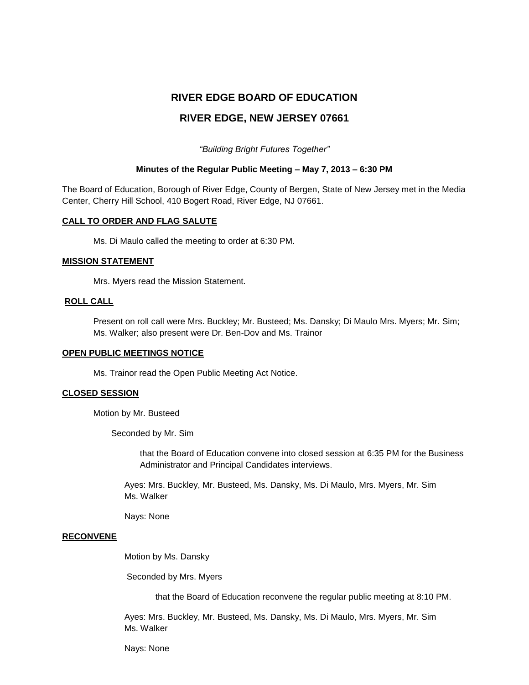# **RIVER EDGE BOARD OF EDUCATION**

# **RIVER EDGE, NEW JERSEY 07661**

*"Building Bright Futures Together"*

### **Minutes of the Regular Public Meeting – May 7, 2013 – 6:30 PM**

The Board of Education, Borough of River Edge, County of Bergen, State of New Jersey met in the Media Center, Cherry Hill School, 410 Bogert Road, River Edge, NJ 07661.

### **CALL TO ORDER AND FLAG SALUTE**

Ms. Di Maulo called the meeting to order at 6:30 PM.

#### **MISSION STATEMENT**

Mrs. Myers read the Mission Statement.

### **ROLL CALL**

Present on roll call were Mrs. Buckley; Mr. Busteed; Ms. Dansky; Di Maulo Mrs. Myers; Mr. Sim; Ms. Walker; also present were Dr. Ben-Dov and Ms. Trainor

#### **OPEN PUBLIC MEETINGS NOTICE**

Ms. Trainor read the Open Public Meeting Act Notice.

### **CLOSED SESSION**

Motion by Mr. Busteed

Seconded by Mr. Sim

that the Board of Education convene into closed session at 6:35 PM for the Business Administrator and Principal Candidates interviews.

Ayes: Mrs. Buckley, Mr. Busteed, Ms. Dansky, Ms. Di Maulo, Mrs. Myers, Mr. Sim Ms. Walker

Nays: None

#### **RECONVENE**

Motion by Ms. Dansky

Seconded by Mrs. Myers

that the Board of Education reconvene the regular public meeting at 8:10 PM.

Ayes: Mrs. Buckley, Mr. Busteed, Ms. Dansky, Ms. Di Maulo, Mrs. Myers, Mr. Sim Ms. Walker

Nays: None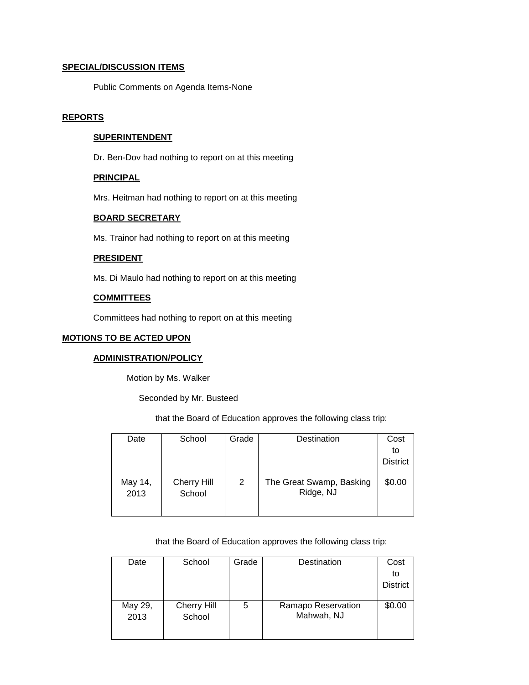# **SPECIAL/DISCUSSION ITEMS**

Public Comments on Agenda Items-None

# **REPORTS**

# **SUPERINTENDENT**

Dr. Ben-Dov had nothing to report on at this meeting

# **PRINCIPAL**

Mrs. Heitman had nothing to report on at this meeting

### **BOARD SECRETARY**

Ms. Trainor had nothing to report on at this meeting

### **PRESIDENT**

Ms. Di Maulo had nothing to report on at this meeting

# **COMMITTEES**

Committees had nothing to report on at this meeting

# **MOTIONS TO BE ACTED UPON**

# **ADMINISTRATION/POLICY**

Motion by Ms. Walker

Seconded by Mr. Busteed

that the Board of Education approves the following class trip:

| Date    | School             | Grade | Destination              | Cost            |
|---------|--------------------|-------|--------------------------|-----------------|
|         |                    |       |                          | to              |
|         |                    |       |                          | <b>District</b> |
|         |                    |       |                          |                 |
| May 14, | <b>Cherry Hill</b> | 2     | The Great Swamp, Basking | \$0.00          |
| 2013    | School             |       | Ridge, NJ                |                 |
|         |                    |       |                          |                 |
|         |                    |       |                          |                 |

that the Board of Education approves the following class trip:

| Date    | School      | Grade | Destination        | Cost            |
|---------|-------------|-------|--------------------|-----------------|
|         |             |       |                    | to              |
|         |             |       |                    | <b>District</b> |
|         |             |       |                    |                 |
| May 29, | Cherry Hill | 5     | Ramapo Reservation | \$0.00          |
| 2013    | School      |       | Mahwah, NJ         |                 |
|         |             |       |                    |                 |
|         |             |       |                    |                 |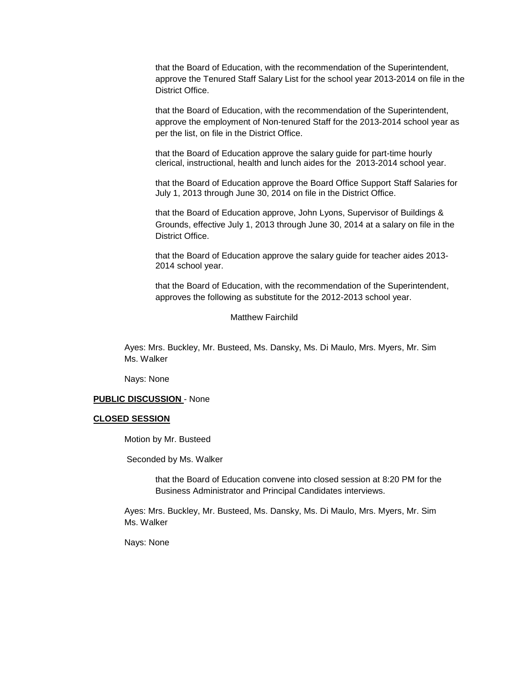that the Board of Education, with the recommendation of the Superintendent, approve the Tenured Staff Salary List for the school year 2013-2014 on file in the District Office.

that the Board of Education, with the recommendation of the Superintendent, approve the employment of Non-tenured Staff for the 2013-2014 school year as per the list, on file in the District Office.

that the Board of Education approve the salary guide for part-time hourly clerical, instructional, health and lunch aides for the 2013-2014 school year.

that the Board of Education approve the Board Office Support Staff Salaries for July 1, 2013 through June 30, 2014 on file in the District Office.

that the Board of Education approve, John Lyons, Supervisor of Buildings & Grounds, effective July 1, 2013 through June 30, 2014 at a salary on file in the District Office.

that the Board of Education approve the salary guide for teacher aides 2013- 2014 school year.

that the Board of Education, with the recommendation of the Superintendent, approves the following as substitute for the 2012-2013 school year.

#### Matthew Fairchild

Ayes: Mrs. Buckley, Mr. Busteed, Ms. Dansky, Ms. Di Maulo, Mrs. Myers, Mr. Sim Ms. Walker

Nays: None

### **PUBLIC DISCUSSION** - None

#### **CLOSED SESSION**

Motion by Mr. Busteed

Seconded by Ms. Walker

that the Board of Education convene into closed session at 8:20 PM for the Business Administrator and Principal Candidates interviews.

Ayes: Mrs. Buckley, Mr. Busteed, Ms. Dansky, Ms. Di Maulo, Mrs. Myers, Mr. Sim Ms. Walker

Nays: None